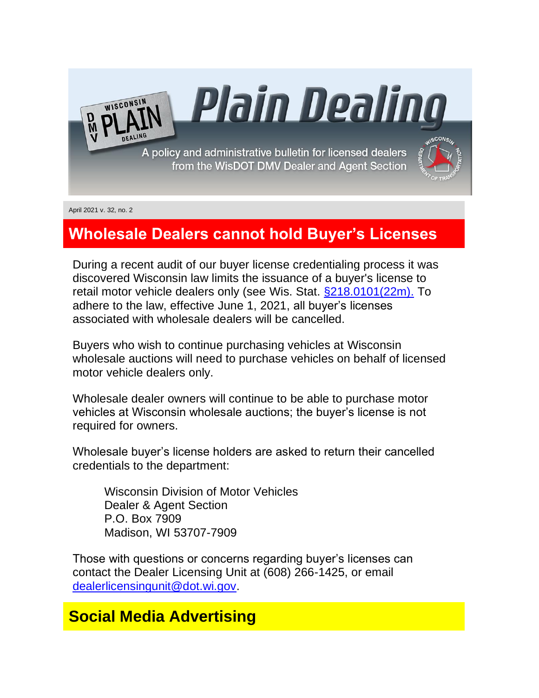A policy and administrative bulletin for licensed dealers from the WisDOT DMV Dealer and Agent Section

<u>Plain Dealino</u>



April 2021 v. 32, no. 2

WISCONSIN

# **Wholesale Dealers cannot hold Buyer's Licenses**

During a recent audit of our buyer license credentialing process it was discovered Wisconsin law limits the issuance of a buyer's license to retail motor vehicle dealers only (see Wis. Stat. [§218.0101\(22m\).](https://docs.legis.wisconsin.gov/statutes/statutes/218/i/0101/22m) To adhere to the law, effective June 1, 2021, all buyer's licenses associated with wholesale dealers will be cancelled.

Buyers who wish to continue purchasing vehicles at Wisconsin wholesale auctions will need to purchase vehicles on behalf of licensed motor vehicle dealers only.

Wholesale dealer owners will continue to be able to purchase motor vehicles at Wisconsin wholesale auctions; the buyer's license is not required for owners.

Wholesale buyer's license holders are asked to return their cancelled credentials to the department:

Wisconsin Division of Motor Vehicles Dealer & Agent Section P.O. Box 7909 Madison, WI 53707-7909

Those with questions or concerns regarding buyer's licenses can contact the Dealer Licensing Unit at (608) 266-1425, or email [dealerlicensingunit@dot.wi.gov.](mailto:dealerlicensingunit@dot.wi.gov)

#### **Social Media Advertising**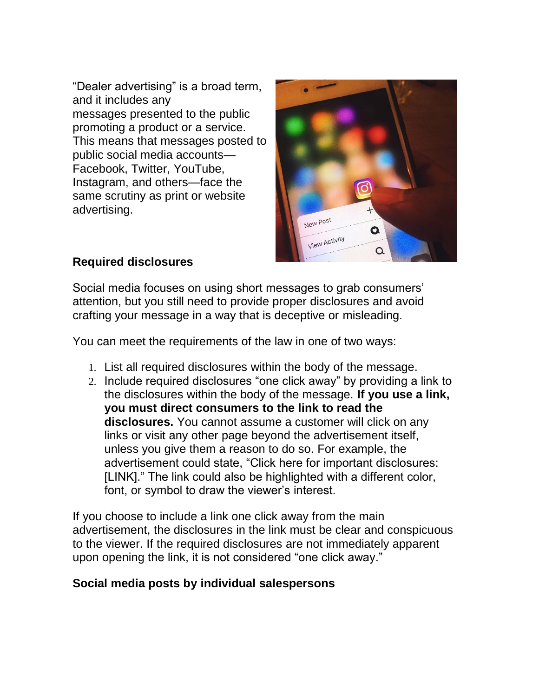"Dealer advertising" is a broad term, and it includes any messages presented to the public promoting a product or a service. This means that messages posted to public social media accounts— Facebook, Twitter, YouTube, Instagram, and others—face the same scrutiny as print or website advertising.



#### **Required disclosures**

Social media focuses on using short messages to grab consumers' attention, but you still need to provide proper disclosures and avoid crafting your message in a way that is deceptive or misleading.

You can meet the requirements of the law in one of two ways:

- 1. List all required disclosures within the body of the message.
- 2. Include required disclosures "one click away" by providing a link to the disclosures within the body of the message. **If you use a link, you must direct consumers to the link to read the disclosures.** You cannot assume a customer will click on any links or visit any other page beyond the advertisement itself, unless you give them a reason to do so. For example, the advertisement could state, "Click here for important disclosures: [LINK]." The link could also be highlighted with a different color, font, or symbol to draw the viewer's interest.

If you choose to include a link one click away from the main advertisement, the disclosures in the link must be clear and conspicuous to the viewer. If the required disclosures are not immediately apparent upon opening the link, it is not considered "one click away."

#### **Social media posts by individual salespersons**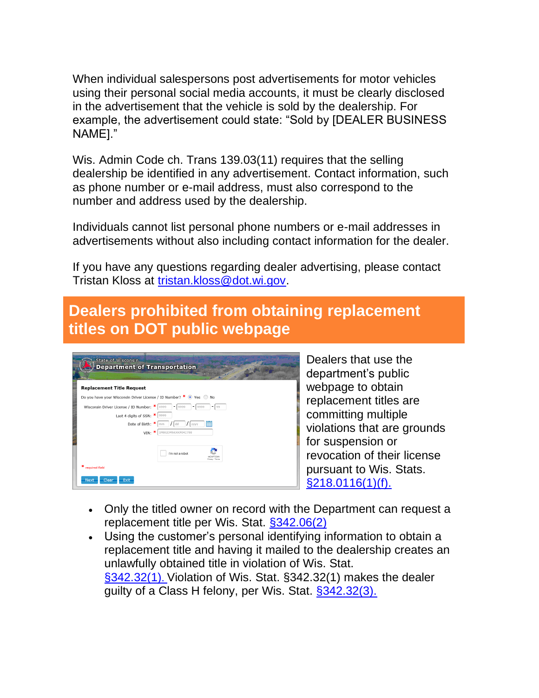When individual salespersons post advertisements for motor vehicles using their personal social media accounts, it must be clearly disclosed in the advertisement that the vehicle is sold by the dealership. For example, the advertisement could state: "Sold by [DEALER BUSINESS NAME]."

Wis. Admin Code ch. Trans 139.03(11) requires that the selling dealership be identified in any advertisement. Contact information, such as phone number or e-mail address, must also correspond to the number and address used by the dealership.

Individuals cannot list personal phone numbers or e-mail addresses in advertisements without also including contact information for the dealer.

If you have any questions regarding dealer advertising, please contact Tristan Kloss at [tristan.kloss@dot.wi.gov.](mailto:tristan.kloss@dot.wi.gov)

# **Dealers prohibited from obtaining replacement titles on DOT public webpage**

| <b>Replacement Title Request</b>               |                                                                   |
|------------------------------------------------|-------------------------------------------------------------------|
|                                                |                                                                   |
|                                                | Do you have your Wisconsin Driver License / ID Number? * • Yes No |
| Wisconsin Driver License / ID Number: *   X999 | 9999<br>٠<br>$= 19999$<br>$= 199$                                 |
| Last 4 digits of SSN: $*$   9999               |                                                                   |
|                                                | m<br>Date of Birth: $* _{mm}$ / dd<br><b>YYYY</b>                 |
|                                                | $VIN:$ *<br>1M8GDM9AXKP042788                                     |
|                                                |                                                                   |
|                                                | I'm not a robot<br>Privacy - Terms                                |
|                                                |                                                                   |

Dealers that use the department's public webpage to obtain replacement titles are committing multiple violations that are grounds for suspension or revocation of their license pursuant to Wis. Stats. [§218.0116\(1\)\(f\).](https://docs.legis.wisconsin.gov/statutes/statutes/218/i/0116/1/f)

- Only the titled owner on record with the Department can request a replacement title per Wis. Stat. [§342.06\(2\)](https://docs.legis.wisconsin.gov/statutes/statutes/342/i/06/2)
- Using the customer's personal identifying information to obtain a replacement title and having it mailed to the dealership creates an unlawfully obtained title in violation of Wis. Stat. [§342.32\(1\)](https://docs.legis.wisconsin.gov/statutes/statutes/342/iii/32/1). Violation of Wis. Stat. §342.32(1) makes the dealer guilty of a Class H felony, per Wis. Stat. [§342.32\(3\).](https://docs.legis.wisconsin.gov/statutes/statutes/342/iii/32/3)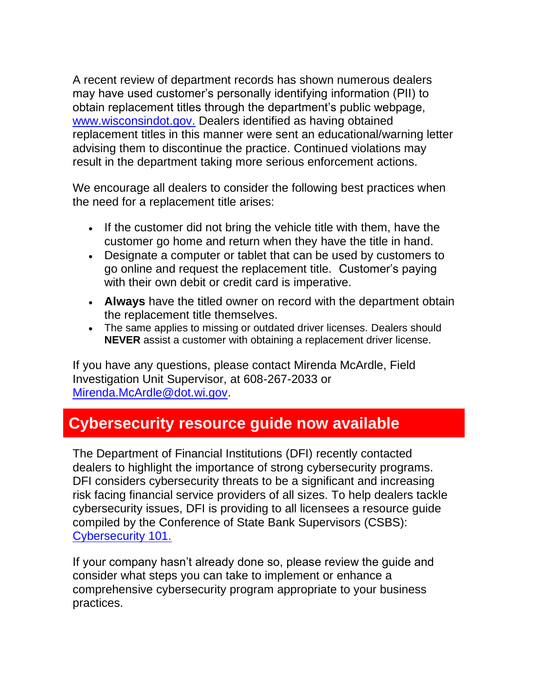A recent review of department records has shown numerous dealers may have used customer's personally identifying information (PII) to obtain replacement titles through the department's public webpage, [www.wisconsindot.gov.](http://www.wisconsindot.gov/) Dealers identified as having obtained replacement titles in this manner were sent an educational/warning letter advising them to discontinue the practice. Continued violations may result in the department taking more serious enforcement actions.

We encourage all dealers to consider the following best practices when the need for a replacement title arises:

- If the customer did not bring the vehicle title with them, have the customer go home and return when they have the title in hand.
- Designate a computer or tablet that can be used by customers to go online and request the replacement title. Customer's paying with their own debit or credit card is imperative.
- **Always** have the titled owner on record with the department obtain the replacement title themselves.
- The same applies to missing or outdated driver licenses. Dealers should **NEVER** assist a customer with obtaining a replacement driver license.

If you have any questions, please contact Mirenda McArdle, Field Investigation Unit Supervisor, at 608-267-2033 or [Mirenda.McArdle@dot.wi.gov.](mailto:Mirenda.McArdle@dot.wi.gov)

# **Cybersecurity resource guide now available**

The Department of Financial Institutions (DFI) recently contacted dealers to highlight the importance of strong cybersecurity programs. DFI considers cybersecurity threats to be a significant and increasing risk facing financial service providers of all sizes. To help dealers tackle cybersecurity issues, DFI is providing to all licensees a resource guide compiled by the Conference of State Bank Supervisors (CSBS): [Cybersecurity 101.](https://docs.legis.wisconsin.gov/statutes/statutes/342/iii/32/3)

If your company hasn't already done so, please review the guide and consider what steps you can take to implement or enhance a comprehensive cybersecurity program appropriate to your business practices.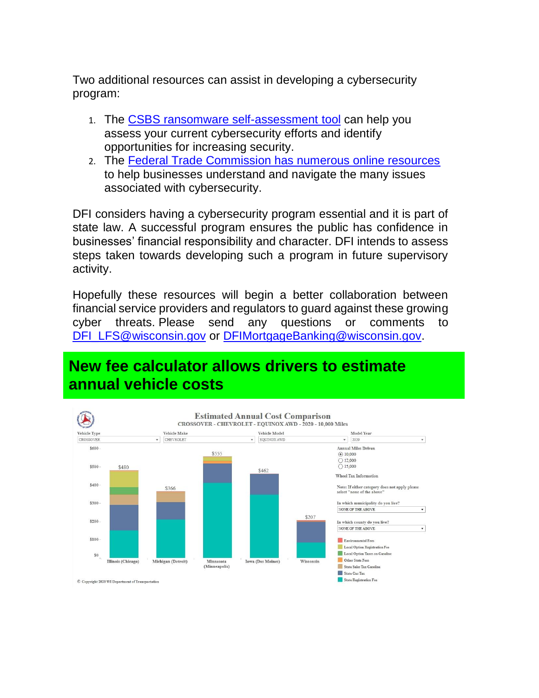Two additional resources can assist in developing a cybersecurity program:

- 1. The [CSBS ransomware self-assessment tool](https://docs.legis.wisconsin.gov/statutes/statutes/342/iii/32/3) can help you assess your current cybersecurity efforts and identify opportunities for increasing security.
- 2. The [Federal Trade Commission has numerous online resources](https://www.ftc.gov/tips-advice/business-center/small-businesses/cybersecurity) to help businesses understand and navigate the many issues associated with cybersecurity.

DFI considers having a cybersecurity program essential and it is part of state law. A successful program ensures the public has confidence in businesses' financial responsibility and character. DFI intends to assess steps taken towards developing such a program in future supervisory activity.

Hopefully these resources will begin a better collaboration between financial service providers and regulators to guard against these growing cyber threats. Please send any questions or comments to [DFI\\_LFS@wisconsin.gov](mailto:DFI_LFS@wisconsin.gov) or [DFIMortgageBanking@wisconsin.gov.](mailto:DFIMortgageBanking@wisconsin.gov)

### **New fee calculator allows drivers to estimate annual vehicle costs**